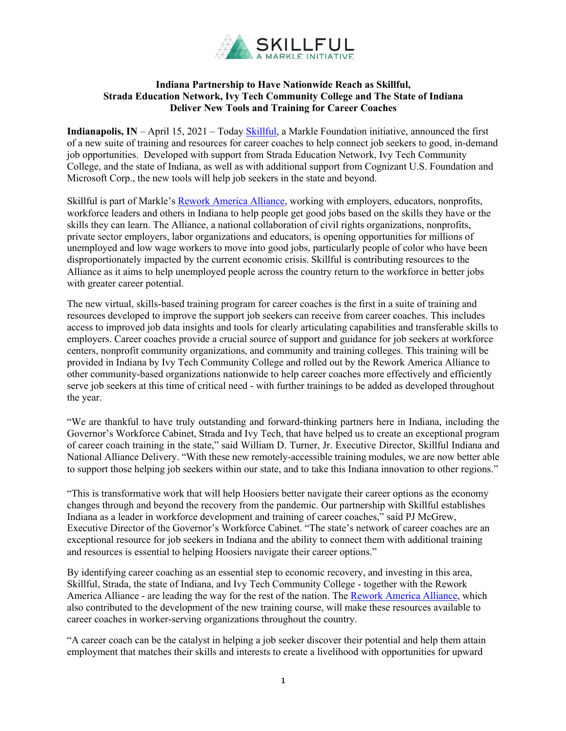

## **Indiana Partnership to Have Nationwide Reach as Skillful, Strada Education Network, Ivy Tech Community College and The State of Indiana Deliver New Tools and Training for Career Coaches**

**Indianapolis, IN** – April 15, 2021 – Today **Skillful**, a Markle Foundation initiative, announced the first of a new suite of training and resources for career coaches to help connect job seekers to good, in-demand job opportunities. Developed with support from Strada Education Network, Ivy Tech Community College, and the state of Indiana, as well as with additional support from Cognizant U.S. Foundation and Microsoft Corp., the new tools will help job seekers in the state and beyond.

Skillful is part of Markle's Rework America Alliance, working with employers, educators, nonprofits, workforce leaders and others in Indiana to help people get good jobs based on the skills they have or the skills they can learn. The Alliance, a national collaboration of civil rights organizations, nonprofits, private sector employers, labor organizations and educators, is opening opportunities for millions of unemployed and low wage workers to move into good jobs, particularly people of color who have been disproportionately impacted by the current economic crisis. Skillful is contributing resources to the Alliance as it aims to help unemployed people across the country return to the workforce in better jobs with greater career potential.

The new virtual, skills-based training program for career coaches is the first in a suite of training and resources developed to improve the support job seekers can receive from career coaches. This includes access to improved job data insights and tools for clearly articulating capabilities and transferable skills to employers. Career coaches provide a crucial source of support and guidance for job seekers at workforce centers, nonprofit community organizations, and community and training colleges. This training will be provided in Indiana by Ivy Tech Community College and rolled out by the Rework America Alliance to other community-based organizations nationwide to help career coaches more effectively and efficiently serve job seekers at this time of critical need - with further trainings to be added as developed throughout the year.

"We are thankful to have truly outstanding and forward-thinking partners here in Indiana, including the Governor's Workforce Cabinet, Strada and Ivy Tech, that have helped us to create an exceptional program of career coach training in the state," said William D. Turner, Jr. Executive Director, Skillful Indiana and National Alliance Delivery. "With these new remotely-accessible training modules, we are now better able to support those helping job seekers within our state, and to take this Indiana innovation to other regions."

"This is transformative work that will help Hoosiers better navigate their career options as the economy changes through and beyond the recovery from the pandemic. Our partnership with Skillful establishes Indiana as a leader in workforce development and training of career coaches," said PJ McGrew, Executive Director of the Governor's Workforce Cabinet. "The state's network of career coaches are an exceptional resource for job seekers in Indiana and the ability to connect them with additional training and resources is essential to helping Hoosiers navigate their career options."

By identifying career coaching as an essential step to economic recovery, and investing in this area, Skillful, Strada, the state of Indiana, and Ivy Tech Community College - together with the Rework America Alliance - are leading the way for the rest of the nation. The Rework America Alliance, which also contributed to the development of the new training course, will make these resources available to career coaches in worker-serving organizations throughout the country.

"A career coach can be the catalyst in helping a job seeker discover their potential and help them attain employment that matches their skills and interests to create a livelihood with opportunities for upward